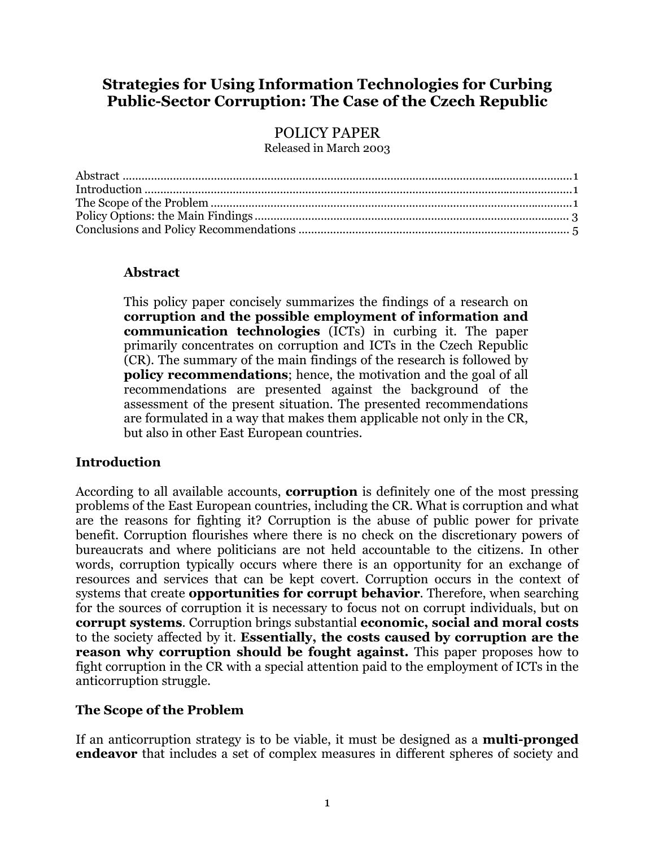# <span id="page-0-0"></span>**Strategies for Using Information Technologies for Curbing Public-Sector Corruption: The Case of the Czech Republic**

# POLICY PAPER

Released in March 2003

| $\label{eq:1} Introduction \  \  \, \ldots \  \  \, \ldots \  \  \, \ldots \  \  \, \ldots \  \  \, \ldots \  \  \, \ldots \  \  \, \ldots \  \  \, \ldots \  \  \, \ldots \  \  \, \ldots \  \  \, \ldots \  \  \, \ldots \  \  \, \ldots \  \  \, \ldots \  \  \, \ldots \  \  \, \ldots \  \  \, \ldots \  \  \, \ldots \  \  \, \ldots \  \  \, \ldots \  \  \, \ldots \  \  \, \ldots \  \  \, \ldots \  \  \$ |  |
|---------------------------------------------------------------------------------------------------------------------------------------------------------------------------------------------------------------------------------------------------------------------------------------------------------------------------------------------------------------------------------------------------------------------|--|
|                                                                                                                                                                                                                                                                                                                                                                                                                     |  |
|                                                                                                                                                                                                                                                                                                                                                                                                                     |  |
|                                                                                                                                                                                                                                                                                                                                                                                                                     |  |

### **Abstract**

This policy paper concisely summarizes the findings of a research on **corruption and the possible employment of information and communication technologies** (ICTs) in curbing it. The paper primarily concentrates on corruption and ICTs in the Czech Republic (CR). The summary of the main findings of the research is followed by **policy recommendations**; hence, the motivation and the goal of all recommendations are presented against the background of the assessment of the present situation. The presented recommendations are formulated in a way that makes them applicable not only in the CR, but also in other East European countries.

## **Introduction**

According to all available accounts, **corruption** is definitely one of the most pressing problems of the East European countries, including the CR. What is corruption and what are the reasons for fighting it? Corruption is the abuse of public power for private benefit. Corruption flourishes where there is no check on the discretionary powers of bureaucrats and where politicians are not held accountable to the citizens. In other words, corruption typically occurs where there is an opportunity for an exchange of resources and services that can be kept covert. Corruption occurs in the context of systems that create **opportunities for corrupt behavior**. Therefore, when searching for the sources of corruption it is necessary to focus not on corrupt individuals, but on **corrupt systems**. Corruption brings substantial **economic, social and moral costs** to the society affected by it. **Essentially, the costs caused by corruption are the reason why corruption should be fought against.** This paper proposes how to fight corruption in the CR with a special attention paid to the employment of ICTs in the anticorruption struggle.

## **The Scope of the Problem**

If an anticorruption strategy is to be viable, it must be designed as a **multi-pronged endeavor** that includes a set of complex measures in different spheres of society and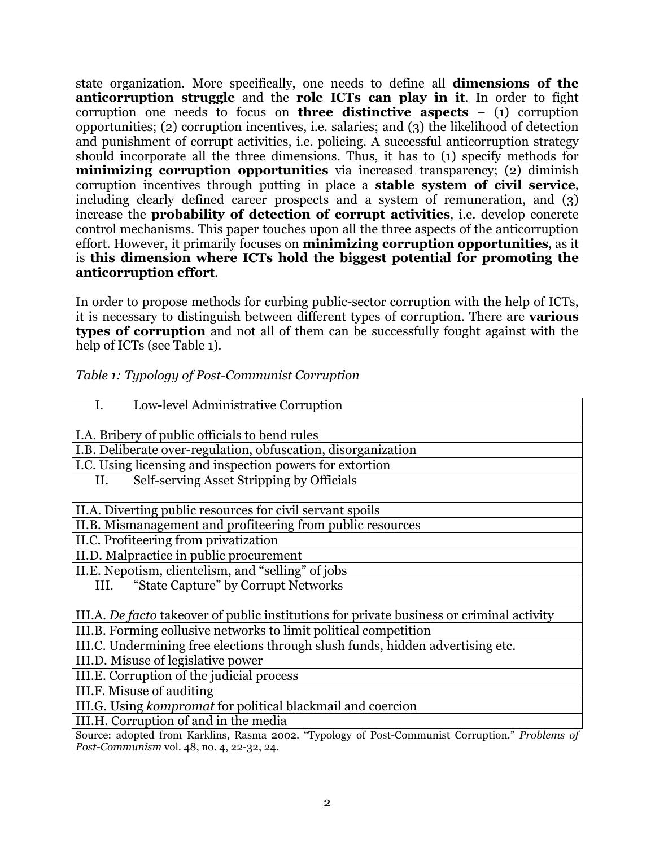state organization. More specifically, one needs to define all **dimensions of the anticorruption struggle** and the **role ICTs can play in it**. In order to fight corruption one needs to focus on **three distinctive aspects** – (1) corruption opportunities; (2) corruption incentives, i.e. salaries; and (3) the likelihood of detection and punishment of corrupt activities, i.e. policing. A successful anticorruption strategy should incorporate all the three dimensions. Thus, it has to (1) specify methods for **minimizing corruption opportunities** via increased transparency; (2) diminish corruption incentives through putting in place a **stable system of civil service**, including clearly defined career prospects and a system of remuneration, and (3) increase the **probability of detection of corrupt activities**, i.e. develop concrete control mechanisms. This paper touches upon all the three aspects of the anticorruption effort. However, it primarily focuses on **minimizing corruption opportunities**, as it is **this dimension where ICTs hold the biggest potential for promoting the anticorruption effort**.

In order to propose methods for curbing public-sector corruption with the help of ICTs, it is necessary to distinguish between different types of corruption. There are **various types of corruption** and not all of them can be successfully fought against with the help of ICTs (see Table 1).

| Low-level Administrative Corruption<br>I.                                                       |
|-------------------------------------------------------------------------------------------------|
| I.A. Bribery of public officials to bend rules                                                  |
| I.B. Deliberate over-regulation, obfuscation, disorganization                                   |
| I.C. Using licensing and inspection powers for extortion                                        |
| Self-serving Asset Stripping by Officials<br>II.                                                |
| II.A. Diverting public resources for civil servant spoils                                       |
| II.B. Mismanagement and profiteering from public resources                                      |
| II.C. Profiteering from privatization                                                           |
| II.D. Malpractice in public procurement                                                         |
| II.E. Nepotism, clientelism, and "selling" of jobs                                              |
| "State Capture" by Corrupt Networks<br>III.                                                     |
| III.A. De facto takeover of public institutions for private business or criminal activity       |
| III.B. Forming collusive networks to limit political competition                                |
| III.C. Undermining free elections through slush funds, hidden advertising etc.                  |
| III.D. Misuse of legislative power                                                              |
| III.E. Corruption of the judicial process                                                       |
| III.F. Misuse of auditing                                                                       |
| III.G. Using kompromat for political blackmail and coercion                                     |
| III.H. Corruption of and in the media                                                           |
| Source: adopted from Karklins, Rasma 2002. "Typology of Post-Communist Corruption." Problems of |

#### *Table 1: Typology of Post-Communist Corruption*

*Post-Communism* vol. 48, no. 4, 22-32, 24.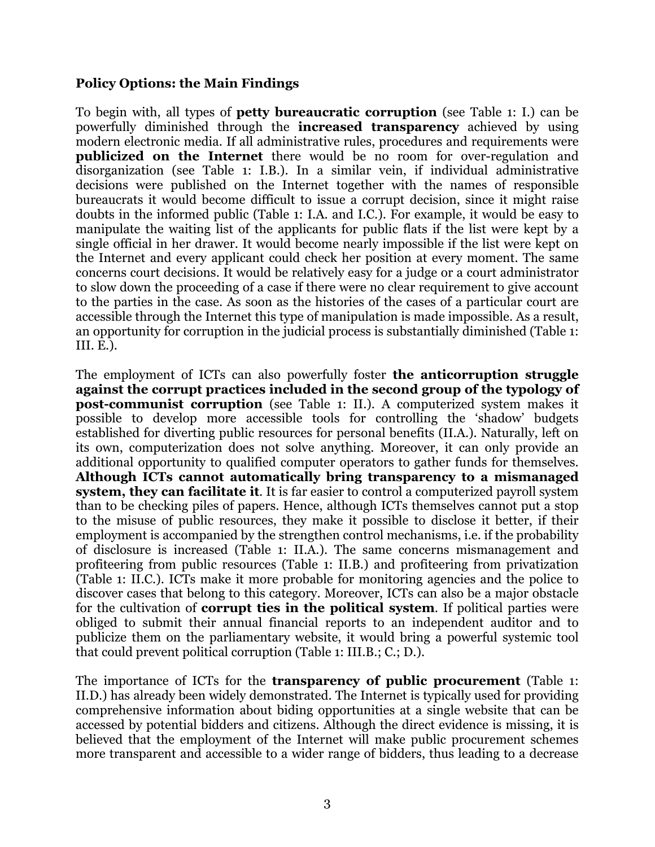### <span id="page-2-0"></span>**Policy Options: the Main Findings**

To begin with, all types of **petty bureaucratic corruption** (see Table 1: I.) can be powerfully diminished through the **increased transparency** achieved by using modern electronic media. If all administrative rules, procedures and requirements were **publicized on the Internet** there would be no room for over-regulation and disorganization (see Table 1: I.B.). In a similar vein, if individual administrative decisions were published on the Internet together with the names of responsible bureaucrats it would become difficult to issue a corrupt decision, since it might raise doubts in the informed public (Table 1: I.A. and I.C.). For example, it would be easy to manipulate the waiting list of the applicants for public flats if the list were kept by a single official in her drawer. It would become nearly impossible if the list were kept on the Internet and every applicant could check her position at every moment. The same concerns court decisions. It would be relatively easy for a judge or a court administrator to slow down the proceeding of a case if there were no clear requirement to give account to the parties in the case. As soon as the histories of the cases of a particular court are accessible through the Internet this type of manipulation is made impossible. As a result, an opportunity for corruption in the judicial process is substantially diminished (Table 1: III. E.).

The employment of ICTs can also powerfully foster **the anticorruption struggle against the corrupt practices included in the second group of the typology of post-communist corruption** (see Table 1: II.). A computerized system makes it possible to develop more accessible tools for controlling the 'shadow' budgets established for diverting public resources for personal benefits (II.A.). Naturally, left on its own, computerization does not solve anything. Moreover, it can only provide an additional opportunity to qualified computer operators to gather funds for themselves. **Although ICTs cannot automatically bring transparency to a mismanaged system, they can facilitate it**. It is far easier to control a computerized payroll system than to be checking piles of papers. Hence, although ICTs themselves cannot put a stop to the misuse of public resources, they make it possible to disclose it better, if their employment is accompanied by the strengthen control mechanisms, i.e. if the probability of disclosure is increased (Table 1: II.A.). The same concerns mismanagement and profiteering from public resources (Table 1: II.B.) and profiteering from privatization (Table 1: II.C.). ICTs make it more probable for monitoring agencies and the police to discover cases that belong to this category. Moreover, ICTs can also be a major obstacle for the cultivation of **corrupt ties in the political system**. If political parties were obliged to submit their annual financial reports to an independent auditor and to publicize them on the parliamentary website, it would bring a powerful systemic tool that could prevent political corruption (Table 1: III.B.; C.; D.).

The importance of ICTs for the **transparency of public procurement** (Table 1: II.D.) has already been widely demonstrated. The Internet is typically used for providing comprehensive information about biding opportunities at a single website that can be accessed by potential bidders and citizens. Although the direct evidence is missing, it is believed that the employment of the Internet will make public procurement schemes more transparent and accessible to a wider range of bidders, thus leading to a decrease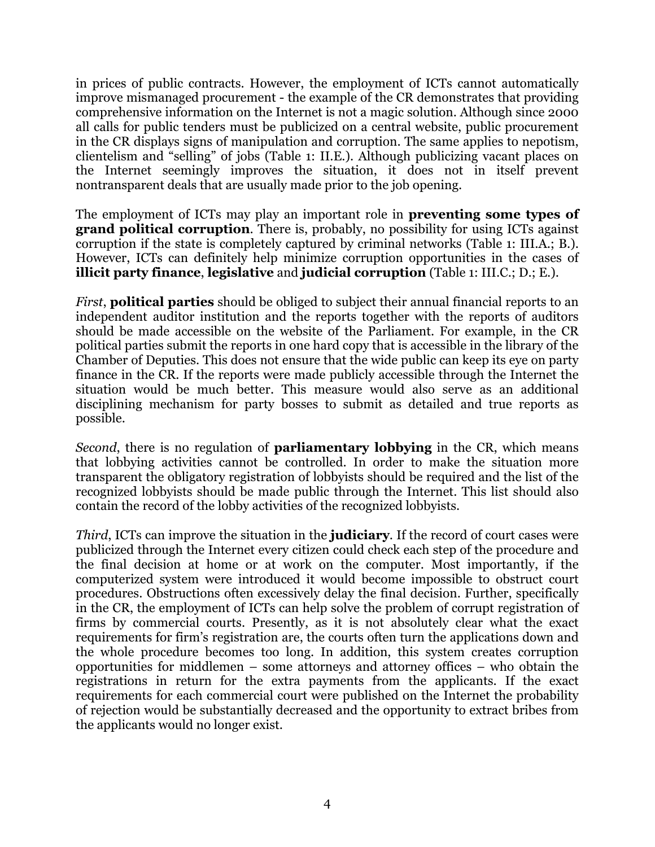in prices of public contracts. However, the employment of ICTs cannot automatically improve mismanaged procurement - the example of the CR demonstrates that providing comprehensive information on the Internet is not a magic solution. Although since 2000 all calls for public tenders must be publicized on a central website, public procurement in the CR displays signs of manipulation and corruption. The same applies to nepotism, clientelism and "selling" of jobs (Table 1: II.E.). Although publicizing vacant places on the Internet seemingly improves the situation, it does not in itself prevent nontransparent deals that are usually made prior to the job opening.

The employment of ICTs may play an important role in **preventing some types of grand political corruption**. There is, probably, no possibility for using ICTs against corruption if the state is completely captured by criminal networks (Table 1: III.A.; B.). However, ICTs can definitely help minimize corruption opportunities in the cases of **illicit party finance**, **legislative** and **judicial corruption** (Table 1: III.C.; D.; E.).

*First*, **political parties** should be obliged to subject their annual financial reports to an independent auditor institution and the reports together with the reports of auditors should be made accessible on the website of the Parliament. For example, in the CR political parties submit the reports in one hard copy that is accessible in the library of the Chamber of Deputies. This does not ensure that the wide public can keep its eye on party finance in the CR. If the reports were made publicly accessible through the Internet the situation would be much better. This measure would also serve as an additional disciplining mechanism for party bosses to submit as detailed and true reports as possible.

*Second*, there is no regulation of **parliamentary lobbying** in the CR, which means that lobbying activities cannot be controlled. In order to make the situation more transparent the obligatory registration of lobbyists should be required and the list of the recognized lobbyists should be made public through the Internet. This list should also contain the record of the lobby activities of the recognized lobbyists.

*Third*, ICTs can improve the situation in the **judiciary**. If the record of court cases were publicized through the Internet every citizen could check each step of the procedure and the final decision at home or at work on the computer. Most importantly, if the computerized system were introduced it would become impossible to obstruct court procedures. Obstructions often excessively delay the final decision. Further, specifically in the CR, the employment of ICTs can help solve the problem of corrupt registration of firms by commercial courts. Presently, as it is not absolutely clear what the exact requirements for firm's registration are, the courts often turn the applications down and the whole procedure becomes too long. In addition, this system creates corruption opportunities for middlemen – some attorneys and attorney offices – who obtain the registrations in return for the extra payments from the applicants. If the exact requirements for each commercial court were published on the Internet the probability of rejection would be substantially decreased and the opportunity to extract bribes from the applicants would no longer exist.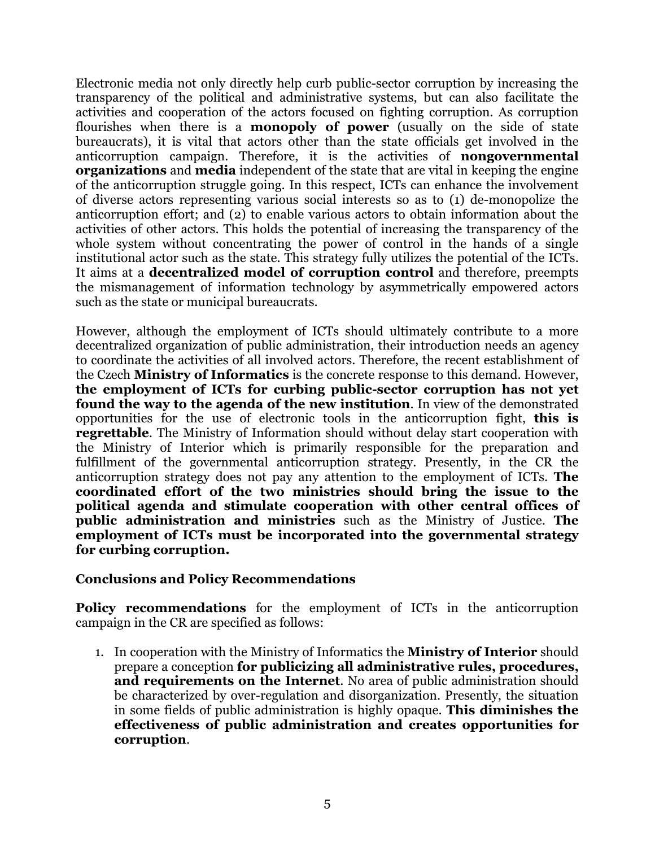<span id="page-4-0"></span>Electronic media not only directly help curb public-sector corruption by increasing the transparency of the political and administrative systems, but can also facilitate the activities and cooperation of the actors focused on fighting corruption. As corruption flourishes when there is a **monopoly of power** (usually on the side of state bureaucrats), it is vital that actors other than the state officials get involved in the anticorruption campaign. Therefore, it is the activities of **nongovernmental organizations** and **media** independent of the state that are vital in keeping the engine of the anticorruption struggle going. In this respect, ICTs can enhance the involvement of diverse actors representing various social interests so as to (1) de-monopolize the anticorruption effort; and (2) to enable various actors to obtain information about the activities of other actors. This holds the potential of increasing the transparency of the whole system without concentrating the power of control in the hands of a single institutional actor such as the state. This strategy fully utilizes the potential of the ICTs. It aims at a **decentralized model of corruption control** and therefore, preempts the mismanagement of information technology by asymmetrically empowered actors such as the state or municipal bureaucrats.

However, although the employment of ICTs should ultimately contribute to a more decentralized organization of public administration, their introduction needs an agency to coordinate the activities of all involved actors. Therefore, the recent establishment of the Czech **Ministry of Informatics** is the concrete response to this demand. However, **the employment of ICTs for curbing public-sector corruption has not yet found the way to the agenda of the new institution**. In view of the demonstrated opportunities for the use of electronic tools in the anticorruption fight, **this is regrettable**. The Ministry of Information should without delay start cooperation with the Ministry of Interior which is primarily responsible for the preparation and fulfillment of the governmental anticorruption strategy. Presently, in the CR the anticorruption strategy does not pay any attention to the employment of ICTs. **The coordinated effort of the two ministries should bring the issue to the political agenda and stimulate cooperation with other central offices of public administration and ministries** such as the Ministry of Justice. **The employment of ICTs must be incorporated into the governmental strategy for curbing corruption.**

#### **Conclusions and Policy Recommendations**

**Policy recommendations** for the employment of ICTs in the anticorruption campaign in the CR are specified as follows:

1. In cooperation with the Ministry of Informatics the **Ministry of Interior** should prepare a conception **for publicizing all administrative rules, procedures, and requirements on the Internet**. No area of public administration should be characterized by over-regulation and disorganization. Presently, the situation in some fields of public administration is highly opaque. **This diminishes the effectiveness of public administration and creates opportunities for corruption**.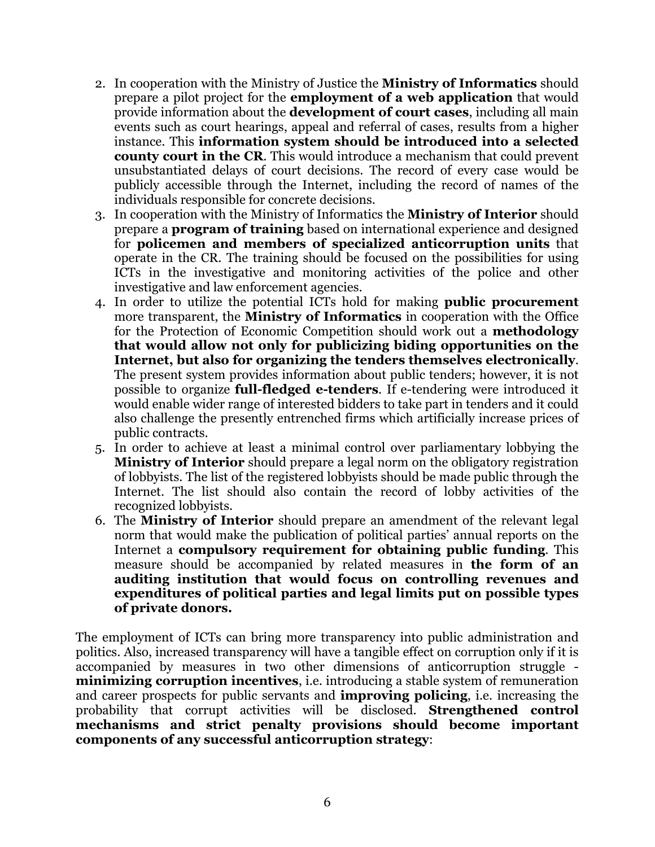- 2. In cooperation with the Ministry of Justice the **Ministry of Informatics** should prepare a pilot project for the **employment of a web application** that would provide information about the **development of court cases**, including all main events such as court hearings, appeal and referral of cases, results from a higher instance. This **information system should be introduced into a selected county court in the CR**. This would introduce a mechanism that could prevent unsubstantiated delays of court decisions. The record of every case would be publicly accessible through the Internet, including the record of names of the individuals responsible for concrete decisions.
- 3. In cooperation with the Ministry of Informatics the **Ministry of Interior** should prepare a **program of training** based on international experience and designed for **policemen and members of specialized anticorruption units** that operate in the CR. The training should be focused on the possibilities for using ICTs in the investigative and monitoring activities of the police and other investigative and law enforcement agencies.
- 4. In order to utilize the potential ICTs hold for making **public procurement** more transparent, the **Ministry of Informatics** in cooperation with the Office for the Protection of Economic Competition should work out a **methodology that would allow not only for publicizing biding opportunities on the Internet, but also for organizing the tenders themselves electronically**. The present system provides information about public tenders; however, it is not possible to organize **full-fledged e-tenders**. If e-tendering were introduced it would enable wider range of interested bidders to take part in tenders and it could also challenge the presently entrenched firms which artificially increase prices of public contracts.
- 5. In order to achieve at least a minimal control over parliamentary lobbying the **Ministry of Interior** should prepare a legal norm on the obligatory registration of lobbyists. The list of the registered lobbyists should be made public through the Internet. The list should also contain the record of lobby activities of the recognized lobbyists.
- 6. The **Ministry of Interior** should prepare an amendment of the relevant legal norm that would make the publication of political parties' annual reports on the Internet a **compulsory requirement for obtaining public funding**. This measure should be accompanied by related measures in **the form of an auditing institution that would focus on controlling revenues and expenditures of political parties and legal limits put on possible types of private donors.**

The employment of ICTs can bring more transparency into public administration and politics. Also, increased transparency will have a tangible effect on corruption only if it is accompanied by measures in two other dimensions of anticorruption struggle **minimizing corruption incentives**, i.e. introducing a stable system of remuneration and career prospects for public servants and **improving policing**, i.e. increasing the probability that corrupt activities will be disclosed. **Strengthened control mechanisms and strict penalty provisions should become important components of any successful anticorruption strategy**: